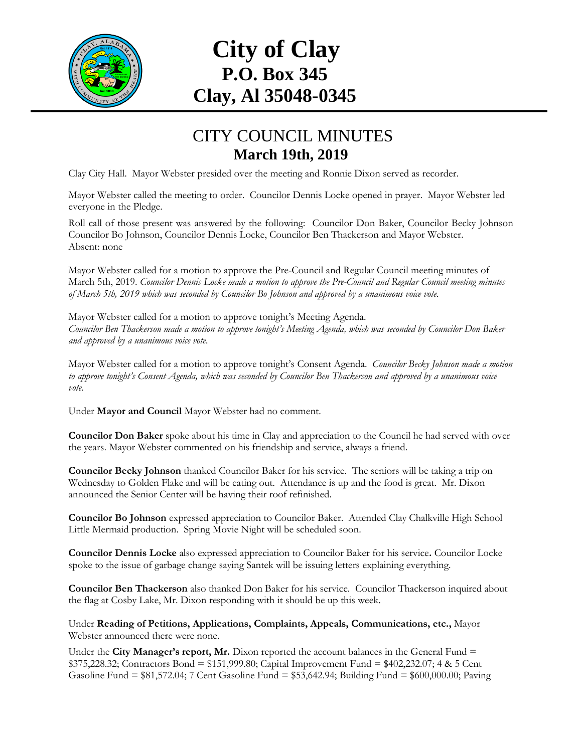

## **City of Clay P.O. Box 345 Clay, Al 35048-0345**

## CITY COUNCIL MINUTES **March 19th, 2019**

Clay City Hall. Mayor Webster presided over the meeting and Ronnie Dixon served as recorder.

Mayor Webster called the meeting to order. Councilor Dennis Locke opened in prayer. Mayor Webster led everyone in the Pledge.

Roll call of those present was answered by the following: Councilor Don Baker, Councilor Becky Johnson Councilor Bo Johnson, Councilor Dennis Locke, Councilor Ben Thackerson and Mayor Webster. Absent: none

Mayor Webster called for a motion to approve the Pre-Council and Regular Council meeting minutes of March 5th, 2019. *Councilor Dennis Locke made a motion to approve the Pre-Council and Regular Council meeting minutes of March 5th, 2019 which was seconded by Councilor Bo Johnson and approved by a unanimous voice vote.*

Mayor Webster called for a motion to approve tonight's Meeting Agenda. *Councilor Ben Thackerson made a motion to approve tonight's Meeting Agenda, which was seconded by Councilor Don Baker and approved by a unanimous voice vote.*

Mayor Webster called for a motion to approve tonight's Consent Agenda. *Councilor Becky Johnson made a motion to approve tonight's Consent Agenda, which was seconded by Councilor Ben Thackerson and approved by a unanimous voice vote.*

Under **Mayor and Council** Mayor Webster had no comment.

**Councilor Don Baker** spoke about his time in Clay and appreciation to the Council he had served with over the years. Mayor Webster commented on his friendship and service, always a friend.

**Councilor Becky Johnson** thanked Councilor Baker for his service. The seniors will be taking a trip on Wednesday to Golden Flake and will be eating out. Attendance is up and the food is great. Mr. Dixon announced the Senior Center will be having their roof refinished.

**Councilor Bo Johnson** expressed appreciation to Councilor Baker. Attended Clay Chalkville High School Little Mermaid production. Spring Movie Night will be scheduled soon.

**Councilor Dennis Locke** also expressed appreciation to Councilor Baker for his service**.** Councilor Locke spoke to the issue of garbage change saying Santek will be issuing letters explaining everything.

**Councilor Ben Thackerson** also thanked Don Baker for his service. Councilor Thackerson inquired about the flag at Cosby Lake, Mr. Dixon responding with it should be up this week.

Under **Reading of Petitions, Applications, Complaints, Appeals, Communications, etc.,** Mayor Webster announced there were none.

Under the **City Manager's report, Mr.** Dixon reported the account balances in the General Fund = \$375,228.32; Contractors Bond = \$151,999.80; Capital Improvement Fund = \$402,232.07; 4 & 5 Cent Gasoline Fund = \$81,572.04; 7 Cent Gasoline Fund = \$53,642.94; Building Fund = \$600,000.00; Paving